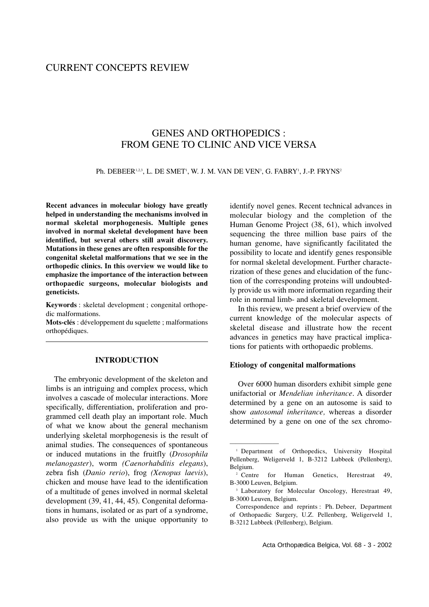# CURRENT CONCEPTS REVIEW

# GENES AND ORTHOPEDICS : FROM GENE TO CLINIC AND VICE VERSA

Ph. DEBEER123, L. DE SMET', W. J. M. VAN DE VEN3, G. FABRY', J.-P. FRYNS2

**Recent advances in molecular biology have greatly helped in understanding the mechanisms involved in normal skeletal morphogenesis. Multiple genes involved in normal skeletal development have been identified, but several others still await discovery. Mutations in these genes are often responsible for the congenital skeletal malformations that we see in the orthopedic clinics. In this overview we would like to emphasize the importance of the interaction between orthopaedic surgeons, molecular biologists and geneticists.**

**Keywords** : skeletal development ; congenital orthopedic malformations.

**Mots-clés** : développement du squelette ; malformations orthopédiques.

## **INTRODUCTION**

The embryonic development of the skeleton and limbs is an intriguing and complex process, which involves a cascade of molecular interactions. More specifically, differentiation, proliferation and programmed cell death play an important role. Much of what we know about the general mechanism underlying skeletal morphogenesis is the result of animal studies. The consequences of spontaneous or induced mutations in the fruitfly (*Drosophila melanogaster*), worm *(Caenorhabditis elegans*), zebra fish (*Danio rerio*), frog *(Xenopus laevis*), chicken and mouse have lead to the identification of a multitude of genes involved in normal skeletal development (39, 41, 44, 45). Congenital deformations in humans, isolated or as part of a syndrome, also provide us with the unique opportunity to

identify novel genes. Recent technical advances in molecular biology and the completion of the Human Genome Project (38, 61), which involved sequencing the three million base pairs of the human genome, have significantly facilitated the possibility to locate and identify genes responsible for normal skeletal development. Further characterization of these genes and elucidation of the function of the corresponding proteins will undoubtedly provide us with more information regarding their role in normal limb- and skeletal development.

In this review, we present a brief overview of the current knowledge of the molecular aspects of skeletal disease and illustrate how the recent advances in genetics may have practical implications for patients with orthopaedic problems.

### **Etiology of congenital malformations**

————————

Over 6000 human disorders exhibit simple gene unifactorial or *Mendelian inheritance*. A disorder determined by a gene on an autosome is said to show *autosomal inheritance,* whereas a disorder determined by a gene on one of the sex chromo-

<sup>&</sup>lt;sup>1</sup> Department of Orthopedics, University Hospital Pellenberg, Weligerveld 1, B-3212 Lubbeek (Pellenberg), Belgium.

<sup>&</sup>lt;sup>2</sup> Centre for Human Genetics, Herestraat 49, B-3000 Leuven, Belgium.

<sup>&</sup>lt;sup>3</sup> Laboratory for Molecular Oncology, Herestraat 49, B-3000 Leuven, Belgium.

Correspondence and reprints : Ph. Debeer, Department of Orthopaedic Surgery, U.Z. Pellenberg, Weligerveld 1, B-3212 Lubbeek (Pellenberg), Belgium.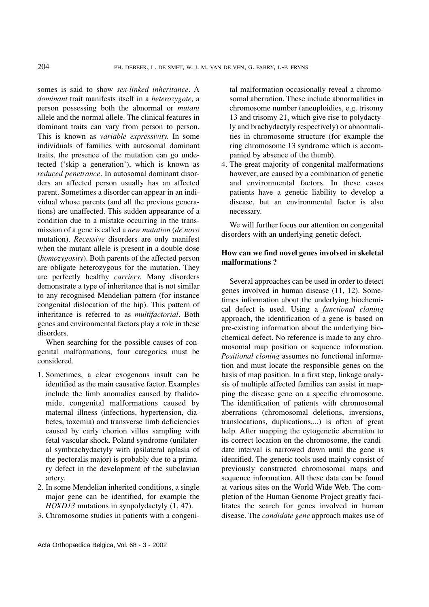somes is said to show *sex-linked inheritance*. A *dominant* trait manifests itself in a *heterozygote,* a person possessing both the abnormal or *mutant* allele and the normal allele. The clinical features in dominant traits can vary from person to person. This is known as *variable expressivity.* In some individuals of families with autosomal dominant traits, the presence of the mutation can go undetected ('skip a generation'), which is known as *reduced penetrance*. In autosomal dominant disorders an affected person usually has an affected parent. Sometimes a disorder can appear in an individual whose parents (and all the previous generations) are unaffected. This sudden appearance of a condition due to a mistake occurring in the transmission of a gene is called a *new mutation* (*de novo* mutation). *Recessive* disorders are only manifest when the mutant allele is present in a double dose (*homozygosity*). Both parents of the affected person are obligate heterozygous for the mutation. They are perfectly healthy *carriers*. Many disorders demonstrate a type of inheritance that is not similar to any recognised Mendelian pattern (for instance congenital dislocation of the hip). This pattern of inheritance is referred to as *multifactorial*. Both genes and environmental factors play a role in these disorders.

When searching for the possible causes of congenital malformations, four categories must be considered.

- 1. Sometimes, a clear exogenous insult can be identified as the main causative factor. Examples include the limb anomalies caused by thalidomide, congenital malformations caused by maternal illness (infections, hypertension, diabetes, toxemia) and transverse limb deficiencies caused by early chorion villus sampling with fetal vascular shock. Poland syndrome (unilateral symbrachydactyly with ipsilateral aplasia of the pectoralis major) is probably due to a primary defect in the development of the subclavian artery.
- 2. In some Mendelian inherited conditions, a single major gene can be identified, for example the *HOXD13* mutations in synpolydactyly  $(1, 47)$ .
- 3. Chromosome studies in patients with a congeni-

tal malformation occasionally reveal a chromosomal aberration. These include abnormalities in chromosome number (aneuploidies, e.g. trisomy 13 and trisomy 21, which give rise to polydactyly and brachydactyly respectively) or abnormalities in chromosome structure (for example the ring chromosome 13 syndrome which is accompanied by absence of the thumb).

4. The great majority of congenital malformations however, are caused by a combination of genetic and environmental factors. In these cases patients have a genetic liability to develop a disease, but an environmental factor is also necessary.

We will further focus our attention on congenital disorders with an underlying genetic defect.

# **How can we find novel genes involved in skeletal malformations ?**

Several approaches can be used in order to detect genes involved in human disease (11, 12). Sometimes information about the underlying biochemical defect is used. Using a *functional cloning* approach, the identification of a gene is based on pre-existing information about the underlying biochemical defect. No reference is made to any chromosomal map position or sequence information. *Positional cloning* assumes no functional information and must locate the responsible genes on the basis of map position. In a first step, linkage analysis of multiple affected families can assist in mapping the disease gene on a specific chromosome. The identification of patients with chromosomal aberrations (chromosomal deletions, inversions, translocations, duplications,...) is often of great help. After mapping the cytogenetic aberration to its correct location on the chromosome, the candidate interval is narrowed down until the gene is identified. The genetic tools used mainly consist of previously constructed chromosomal maps and sequence information. All these data can be found at various sites on the World Wide Web. The completion of the Human Genome Project greatly facilitates the search for genes involved in human disease. The *candidate gene* approach makes use of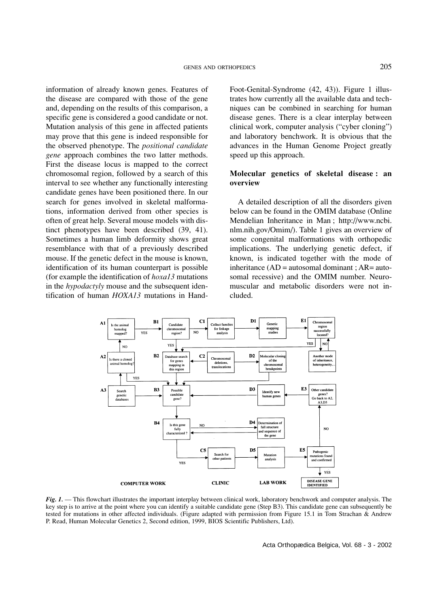information of already known genes. Features of the disease are compared with those of the gene and, depending on the results of this comparison, a specific gene is considered a good candidate or not. Mutation analysis of this gene in affected patients may prove that this gene is indeed responsible for the observed phenotype. The *positional candidate gene* approach combines the two latter methods. First the disease locus is mapped to the correct chromosomal region, followed by a search of this interval to see whether any functionally interesting candidate genes have been positioned there. In our search for genes involved in skeletal malformations, information derived from other species is often of great help. Several mouse models with distinct phenotypes have been described (39, 41). Sometimes a human limb deformity shows great resemblance with that of a previously described mouse. If the genetic defect in the mouse is known, identification of its human counterpart is possible (for example the identification of *hoxa13* mutations in the *hypodactyly* mouse and the subsequent identification of human *HOXA13* mutations in HandFoot-Genital-Syndrome (42, 43)). Figure 1 illustrates how currently all the available data and techniques can be combined in searching for human disease genes. There is a clear interplay between clinical work, computer analysis ("cyber cloning") and laboratory benchwork. It is obvious that the advances in the Human Genome Project greatly speed up this approach.

## **Molecular genetics of skeletal disease : an overview**

A detailed description of all the disorders given below can be found in the OMIM database (Online Mendelian Inheritance in Man ; http://www.ncbi. nlm.nih.gov/Omim/). Table 1 gives an overview of some congenital malformations with orthopedic implications. The underlying genetic defect, if known, is indicated together with the mode of inheritance  $(AD =$  autosomal dominant ;  $AR =$  autosomal recessive) and the OMIM number. Neuromuscular and metabolic disorders were not included.



*Fig. 1.* — This flowchart illustrates the important interplay between clinical work, laboratory benchwork and computer analysis. The key step is to arrive at the point where you can identify a suitable candidate gene (Step B3). This candidate gene can subsequently be tested for mutations in other affected individuals. (Figure adapted with permission from Figure 15.1 in Tom Strachan & Andrew P. Read, Human Molecular Genetics 2, Second edition, 1999, BIOS Scientific Publishers, Ltd).

Acta Orthopædica Belgica, Vol. 68 - 3 - 2002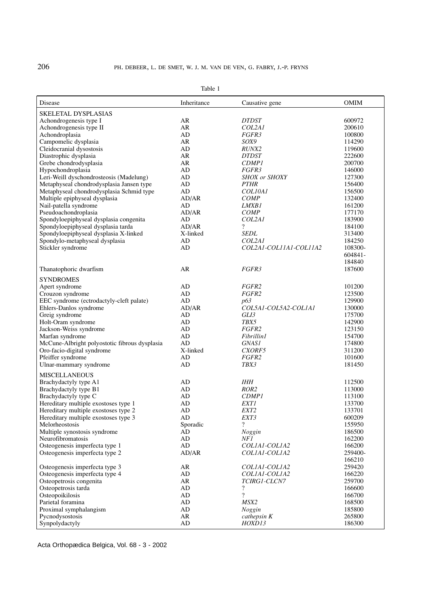| Disease                                       | Inheritance | Causative gene              | <b>OMIM</b>      |
|-----------------------------------------------|-------------|-----------------------------|------------------|
| <b>SKELETAL DYSPLASIAS</b>                    |             |                             |                  |
| Achondrogenesis type I                        | AR          | <b>DTDST</b>                | 600972           |
| Achondrogenesis type II                       | AR          | COL2A1                      | 200610           |
| Achondroplasia                                | AD          | FGFR3                       | 100800           |
| Campomelic dysplasia                          | AR          | SOX9                        | 114290           |
| Cleidocranial dysostosis                      | AD          | <i>RUNX2</i>                | 119600           |
| Diastrophic dysplasia                         | AR          | DTDST                       | 222600           |
| Grebe chondrodysplasia                        | AR          | <b>CDMP1</b>                | 200700           |
| Hypochondroplasia                             | AD          | FGFR3                       | 146000           |
|                                               |             |                             | 127300           |
| Leri-Weill dyschondrosteosis (Madelung)       | AD          | <b>SHOX</b> or <b>SHOXY</b> |                  |
| Metaphyseal chondrodysplasia Jansen type      | AD          | <b>PTHR</b><br>COL10A1      | 156400           |
| Metaphyseal chondrodysplasia Schmid type      | AD          |                             | 156500           |
| Multiple epiphyseal dysplasia                 | AD/AR       | <b>COMP</b>                 | 132400           |
| Nail-patella syndrome                         | AD          | <i>LMXB1</i>                | 161200           |
| Pseudoachondroplasia                          | AD/AR       | <b>COMP</b>                 | 177170           |
| Spondyloepiphyseal dysplasia congenita        | AD          | COL2A1                      | 183900           |
| Spondyloepiphyseal dysplasia tarda            | AD/AR       | $\overline{\mathcal{L}}$    | 184100           |
| Spondyloepiphyseal dysplasia X-linked         | X-linked    | <b>SEDL</b>                 | 313400           |
| Spondylo-metaphyseal dysplasia                | AD          | COL2A1                      | 184250           |
| Stickler syndrome                             | AD          | COL2A1-COL11A1-COL11A2      | 108300-          |
|                                               |             |                             | 604841-          |
|                                               |             |                             | 184840           |
| Thanatophoric dwarfism                        | AR          | <i>FGFR3</i>                | 187600           |
| <b>SYNDROMES</b>                              |             |                             |                  |
| Apert syndrome                                | AD          | FGFR2                       | 101200           |
| Crouzon syndrome                              | AD          | FGFR2                       | 123500           |
| EEC syndrome (ectrodactyly-cleft palate)      | AD          | p63                         | 129900           |
| Ehlers-Danlos syndrome                        | AD/AR       | COL5A1-COL5A2-COL1A1        | 130000           |
| Greig syndrome                                | AD          | GLI3                        | 175700           |
| Holt-Oram syndrome                            | AD          | TBX5                        | 142900           |
| Jackson-Weiss syndrome                        | AD          | FGFR2                       | 123150           |
| Marfan syndrome                               | AD          | <b>Fibrillin1</b>           | 154700           |
| McCune-Albright polyostotic fibrous dysplasia | AD          | <i>GNAS1</i>                | 174800           |
| Oro-facio-digital syndrome                    | X-linked    | CXORF5                      | 311200           |
| Pfeiffer syndrome                             | AD          | FGFR2                       | 101600           |
| Ulnar-mammary syndrome                        | AD          | TBX3                        | 181450           |
| <b>MISCELLANEOUS</b>                          |             |                             |                  |
| Brachydactyly type A1                         | AD          | IHH                         | 112500           |
| Brachydactyly type B1                         | AD          | ROR <sub>2</sub>            | 113000           |
| Brachydactyly type C                          | AD          | <b>CDMP1</b>                | 113100           |
| Hereditary multiple exostoses type 1          | AD          | <i>EXT1</i>                 | 133700           |
| Hereditary multiple exostoses type 2          | AD          | EXT <sub>2</sub>            | 133701           |
| Hereditary multiple exostoses type 3          | AD          | EXT3                        | 600209           |
| Melorheostosis                                | Sporadic    | $\overline{\cdot}$          | 155950           |
| Multiple synostosis syndrome                  | AD          | Noggin                      | 186500           |
| Neurofibromatosis                             | AD          | NF 1                        | 162200           |
| Osteogenesis imperfecta type 1                | AD          | COLIAI-COLIA2               | 166200           |
|                                               |             |                             |                  |
| Osteogenesis imperfecta type 2                | AD/AR       | COLIAI-COLIA2               | 259400-          |
| Osteogenesis imperfecta type 3                | AR          | COLIAI-COLIA2               | 166210<br>259420 |
| Osteogenesis imperfecta type 4                | AD          | COLIAI-COLIA2               | 166220           |
| Osteopetrosis congenita                       | AR          | TCIRG1-CLCN7                | 259700           |
| Osteopetrosis tarda                           | AD          | $\overline{\cdot}$          | 166600           |
| Osteopoikilosis                               | AD          | $\overline{\cdot}$          | 166700           |
|                                               |             |                             |                  |
| Parietal foramina                             | AD          | MSX2                        | 168500           |
| Proximal symphalangism                        | AD          | Noggin                      | 185800           |
| Pycnodysostosis                               | AR          | cathepsin K                 | 265800           |
| Synpolydactyly                                | AD          | HOXD13                      | 186300           |

Table 1

Acta Orthopædica Belgica, Vol. 68 - 3 - 2002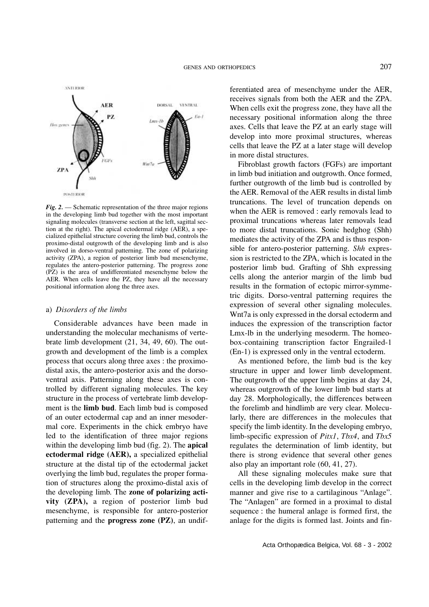

*Fig. 2.* — Schematic representation of the three major regions in the developing limb bud together with the most important signaling molecules (transverse section at the left, sagittal section at the right). The apical ectodermal ridge (AER), a specialized epithelial structure covering the limb bud, controls the proximo-distal outgrowth of the developing limb and is also involved in dorso-ventral patterning. The zone of polarizing activity (ZPA), a region of posterior limb bud mesenchyme, regulates the antero-posterior patterning. The progress zone (PZ) is the area of undifferentiated mesenchyme below the AER. When cells leave the PZ, they have all the necessary positional information along the three axes.

### a) *Disorders of the limbs*

Considerable advances have been made in understanding the molecular mechanisms of vertebrate limb development (21, 34, 49, 60). The outgrowth and development of the limb is a complex process that occurs along three axes : the proximodistal axis, the antero-posterior axis and the dorsoventral axis. Patterning along these axes is controlled by different signaling molecules. The key structure in the process of vertebrate limb development is the **limb bud**. Each limb bud is composed of an outer ectodermal cap and an inner mesodermal core. Experiments in the chick embryo have led to the identification of three major regions within the developing limb bud (fig. 2). The **apical ectodermal ridge (AER),** a specialized epithelial structure at the distal tip of the ectodermal jacket overlying the limb bud, regulates the proper formation of structures along the proximo-distal axis of the developing limb. The **zone of polarizing activity (ZPA),** a region of posterior limb bud mesenchyme, is responsible for antero-posterior patterning and the **progress zone (PZ)**, an undif-

ferentiated area of mesenchyme under the AER, receives signals from both the AER and the ZPA. When cells exit the progress zone, they have all the necessary positional information along the three axes. Cells that leave the PZ at an early stage will develop into more proximal structures, whereas cells that leave the PZ at a later stage will develop in more distal structures.

Fibroblast growth factors (FGFs) are important in limb bud initiation and outgrowth. Once formed, further outgrowth of the limb bud is controlled by the AER. Removal of the AER results in distal limb truncations. The level of truncation depends on when the AER is removed : early removals lead to proximal truncations whereas later removals lead to more distal truncations. Sonic hedghog (Shh) mediates the activity of the ZPA and is thus responsible for antero-posterior patterning. *Shh* expression is restricted to the ZPA, which is located in the posterior limb bud. Grafting of Shh expressing cells along the anterior margin of the limb bud results in the formation of ectopic mirror-symmetric digits. Dorso-ventral patterning requires the expression of several other signaling molecules. Wnt7a is only expressed in the dorsal ectoderm and induces the expression of the transcription factor Lmx-lb in the underlying mesoderm. The homeobox-containing transcription factor Engrailed-1 (En-1) is expressed only in the ventral ectoderm.

As mentioned before, the limb bud is the key structure in upper and lower limb development. The outgrowth of the upper limb begins at day 24, whereas outgrowth of the lower limb bud starts at day 28. Morphologically, the differences between the forelimb and hindlimb are very clear. Molecularly, there are differences in the molecules that specify the limb identity. In the developing embryo, limb-specific expression of *Pitx1*, *Tbx4*, and *Tbx5* regulates the determination of limb identity, but there is strong evidence that several other genes also play an important role (60, 41, 27).

All these signaling molecules make sure that cells in the developing limb develop in the correct manner and give rise to a cartilaginous "Anlage". The "Anlagen" are formed in a proximal to distal sequence : the humeral anlage is formed first, the anlage for the digits is formed last. Joints and fin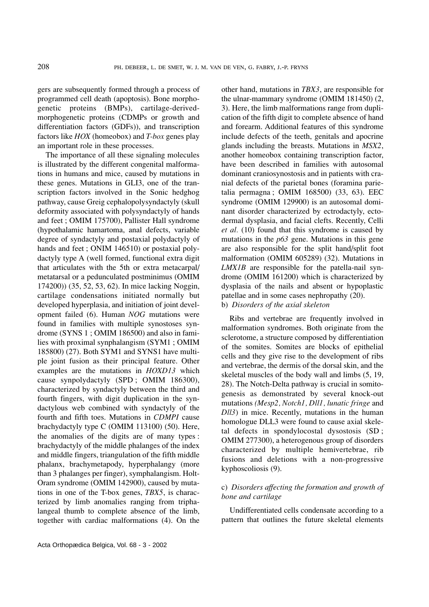gers are subsequently formed through a process of programmed cell death (apoptosis). Bone morphogenetic proteins (BMPs), cartilage-derivedmorphogenetic proteins (CDMPs or growth and differentiation factors (GDFs)), and transcription factors like *HOX* (homeobox) and *T-box* genes play an important role in these processes.

The importance of all these signaling molecules is illustrated by the different congenital malformations in humans and mice, caused by mutations in these genes. Mutations in GLI3, one of the transcription factors involved in the Sonic hedghog pathway, cause Greig cephalopolysyndactyly (skull deformity associated with polysyndactyly of hands and feet ; OMIM 175700), Pallister Hall syndrome (hypothalamic hamartoma, anal defects, variable degree of syndactyly and postaxial polydactyly of hands and feet ; ONIM 146510) or postaxial polydactyly type A (well formed, functional extra digit that articulates with the 5th or extra metacarpal/ metatarsal or a pedunculated postminimus (OMIM 174200)) (35, 52, 53, 62). In mice lacking Noggin, cartilage condensations initiated normally but developed hyperplasia, and initiation of joint development failed (6). Human *NOG* mutations were found in families with multiple synostoses syndrome (SYNS 1 ; OMIM 186500) and also in families with proximal synphalangism (SYM1 ; OMIM 185800) (27). Both SYM1 and SYNS1 have multiple joint fusion as their principal feature. Other examples are the mutations in *HOXD13* which cause synpolydactyly (SPD ; OMIM 186300), characterized by syndactyly between the third and fourth fingers, with digit duplication in the syndactylous web combined with syndactyly of the fourth and fifth toes. Mutations in *CDMPI* cause brachydactyly type C (OMIM 113100) (50). Here, the anomalies of the digits are of many types : brachydactyly of the middle phalanges of the index and middle fingers, triangulation of the fifth middle phalanx, brachymetapody, hyperphalangy (more than 3 phalanges per finger), symphalangism. Holt-Oram syndrome (OMIM 142900), caused by mutations in one of the T-box genes, *TBX5*, is characterized by limb anomalies ranging from triphalangeal thumb to complete absence of the limb, together with cardiac malformations (4). On the other hand, mutations in *TBX3*, are responsible for the ulnar-mammary syndrome (OMIM 181450) (2, 3). Here, the limb malformations range from duplication of the fifth digit to complete absence of hand and forearm. Additional features of this syndrome include defects of the teeth, genitals and apocrine glands including the breasts. Mutations in *MSX2*, another homeobox containing transcription factor, have been described in families with autosomal dominant craniosynostosis and in patients with cranial defects of the parietal bones (foramina parietalia permagna ; OMIM 168500) (33, 63). EEC syndrome (OMIM 129900) is an autosomal dominant disorder characterized by ectrodactyly, ectodermal dysplasia, and facial clefts. Recently, Celli *et al.* (10) found that this syndrome is caused by mutations in the *p63* gene. Mutations in this gene are also responsible for the split hand/split foot malformation (OMIM 605289) (32). Mutations in *LMX1B* are responsible for the patella-nail syndrome (OMIM 161200) which is characterized by dysplasia of the nails and absent or hypoplastic patellae and in some cases nephropathy (20).

b) *Disorders of the axial skeleton*

Ribs and vertebrae are frequently involved in malformation syndromes. Both originate from the sclerotome, a structure composed by differentiation of the somites. Somites are blocks of epithelial cells and they give rise to the development of ribs and vertebrae, the dermis of the dorsal skin, and the skeletal muscles of the body wall and limbs (5, 19, 28). The Notch-Delta pathway is crucial in somitogenesis as demonstrated by several knock-out mutations *(Mesp2, Notch1, Dll1, lunatic fringe* and *Dll3*) in mice. Recently, mutations in the human homologue DLL3 were found to cause axial skeletal defects in spondylocostal dysostosis (SD ; OMIM 277300), a heterogenous group of disorders characterized by multiple hemivertebrae, rib fusions and deletions with a non-progressive kyphoscoliosis (9).

# c) *Disorders affecting the formation and growth of bone and cartilage*

Undifferentiated cells condensate according to a pattern that outlines the future skeletal elements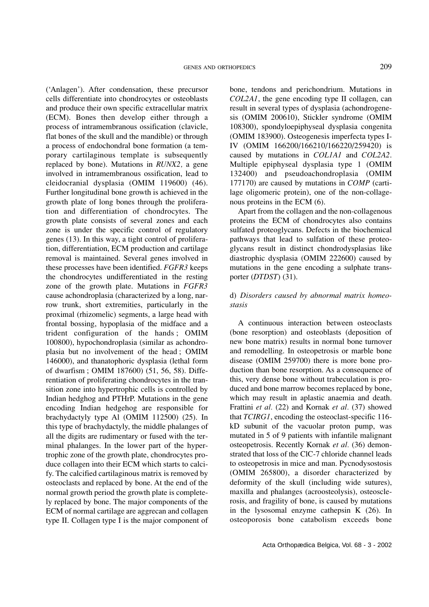('Anlagen'). After condensation, these precursor cells differentiate into chondrocytes or osteoblasts and produce their own specific extracellular matrix (ECM). Bones then develop either through a process of intramembranous ossification (clavicle, flat bones of the skull and the mandible) or through a process of endochondral bone formation (a temporary cartilaginous template is subsequently replaced by bone). Mutations in *RUNX2,* a gene involved in intramembranous ossification, lead to cleidocranial dysplasia (OMIM 119600) (46). Further longitudinal bone growth is achieved in the growth plate of long bones through the proliferation and differentiation of chondrocytes. The growth plate consists of several zones and each zone is under the specific control of regulatory genes (13). In this way, a tight control of proliferation, differentiation, ECM production and cartilage removal is maintained. Several genes involved in these processes have been identified. *FGFR3* keeps the chondrocytes undifferentiated in the resting zone of the growth plate. Mutations in *FGFR3* cause achondroplasia (characterized by a long, narrow trunk, short extremities, particularly in the proximal (rhizomelic) segments, a large head with frontal bossing, hypoplasia of the midface and a trident configuration of the hands ; OMIM 100800), hypochondroplasia (similar as achondroplasia but no involvement of the head ; OMIM 146000), and thanatophoric dysplasia (lethal form of dwarfism ; OMIM 187600) (51, 56, 58). Differentiation of proliferating chondrocytes in the transition zone into hypertrophic cells is controlled by Indian hedghog and PTHrP. Mutations in the gene encoding Indian hedgehog are responsible for brachydactyly type Al (OMIM 112500) (25). In this type of brachydactyly, the middle phalanges of all the digits are rudimentary or fused with the terminal phalanges. In the lower part of the hypertrophic zone of the growth plate, chondrocytes produce collagen into their ECM which starts to calcify. The calcified cartilaginous matrix is removed by osteoclasts and replaced by bone. At the end of the normal growth period the growth plate is completely replaced by bone. The major components of the ECM of normal cartilage are aggrecan and collagen type II. Collagen type I is the major component of

bone, tendons and perichondrium. Mutations in *COL2A1*, the gene encoding type II collagen, can result in several types of dysplasia (achondrogenesis (OMIM 200610), Stickler syndrome (OMIM 108300), spondyloepiphyseal dysplasia congenita (OMIM 183900). Osteogenesis imperfecta types I-IV (OMIM 166200/166210/166220/259420) is caused by mutations in *COL1A1* and *COL2A2*. Multiple epiphyseal dysplasia type 1 (OMIM 132400) and pseudoachondroplasia (OMIM 177170) are caused by mutations in *COMP* (cartilage oligomeric protein), one of the non-collagenous proteins in the ECM (6).

Apart from the collagen and the non-collagenous proteins the ECM of chondrocytes also contains sulfated proteoglycans. Defects in the biochemical pathways that lead to sulfation of these proteoglycans result in distinct chondrodysplasias like diastrophic dysplasia (OMIM 222600) caused by mutations in the gene encoding a sulphate transporter (*DTDST*) (31).

# d) *Disorders caused by abnormal matrix homeostasis*

A continuous interaction between osteoclasts (bone resorption) and osteoblasts (deposition of new bone matrix) results in normal bone turnover and remodelling. In osteopetrosis or marble bone disease (OMIM 259700) there is more bone production than bone resorption. As a consequence of this, very dense bone without trabeculation is produced and bone marrow becomes replaced by bone, which may result in aplastic anaemia and death. Frattini *et al.* (22) and Kornak *et al.* (37) showed that *TCIRG1*, encoding the osteoclast-specific 116 kD subunit of the vacuolar proton pump, was mutated in 5 of 9 patients with infantile malignant osteopetrosis. Recently Kornak *et al.* (36) demonstrated that loss of the ClC-7 chloride channel leads to osteopetrosis in mice and man. Pycnodysostosis (OMIM 265800), a disorder characterized by deformity of the skull (including wide sutures), maxilla and phalanges (acroosteolysis), osteosclerosis, and fragility of bone, is caused by mutations in the lysosomal enzyme cathepsin K (26). In osteoporosis bone catabolism exceeds bone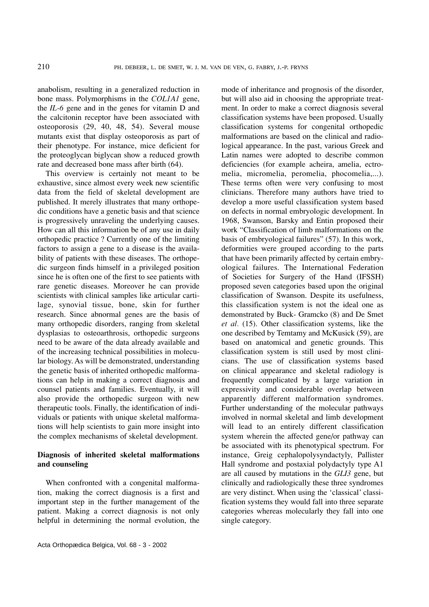anabolism, resulting in a generalized reduction in bone mass. Polymorphisms in the *COL1A1* gene, the *IL-6* gene and in the genes for vitamin D and the calcitonin receptor have been associated with osteoporosis (29, 40, 48, 54). Several mouse mutants exist that display osteoporosis as part of their phenotype. For instance, mice deficient for the proteoglycan biglycan show a reduced growth rate and decreased bone mass after birth (64).

This overview is certainly not meant to be exhaustive, since almost every week new scientific data from the field of skeletal development are published. It merely illustrates that many orthopedic conditions have a genetic basis and that science is progressively unraveling the underlying causes. How can all this information be of any use in daily orthopedic practice ? Currently one of the limiting factors to assign a gene to a disease is the availability of patients with these diseases. The orthopedic surgeon finds himself in a privileged position since he is often one of the first to see patients with rare genetic diseases. Moreover he can provide scientists with clinical samples like articular cartilage, synovial tissue, bone, skin for further research. Since abnormal genes are the basis of many orthopedic disorders, ranging from skeletal dysplasias to osteoarthrosis, orthopedic surgeons need to be aware of the data already available and of the increasing technical possibilities in molecular biology. As will be demonstrated, understanding the genetic basis of inherited orthopedic malformations can help in making a correct diagnosis and counsel patients and families. Eventually, it will also provide the orthopedic surgeon with new therapeutic tools. Finally, the identification of individuals or patients with unique skeletal malformations will help scientists to gain more insight into the complex mechanisms of skeletal development.

# **Diagnosis of inherited skeletal malformations and counseling**

When confronted with a congenital malformation, making the correct diagnosis is a first and important step in the further management of the patient. Making a correct diagnosis is not only helpful in determining the normal evolution, the mode of inheritance and prognosis of the disorder, but will also aid in choosing the appropriate treatment. In order to make a correct diagnosis several classification systems have been proposed. Usually classification systems for congenital orthopedic malformations are based on the clinical and radiological appearance. In the past, various Greek and Latin names were adopted to describe common deficiencies (for example acheira, amelia, ectromelia, micromelia, peromelia, phocomelia,...). These terms often were very confusing to most clinicians. Therefore many authors have tried to develop a more useful classification system based on defects in normal embryologic development. In 1968, Swanson, Barsky and Entin proposed their work "Classification of limb malformations on the basis of embryological failures" (57). In this work, deformities were grouped according to the parts that have been primarily affected by certain embryological failures. The International Federation of Societies for Surgery of the Hand (IFSSH) proposed seven categories based upon the original classification of Swanson. Despite its usefulness, this classification system is not the ideal one as demonstrated by Buck- Gramcko (8) and De Smet *et al.* (15). Other classification systems, like the one described by Temtamy and McKusick (59), are based on anatomical and genetic grounds. This classification system is still used by most clinicians. The use of classification systems based on clinical appearance and skeletal radiology is frequently complicated by a large variation in expressivity and considerable overlap between apparently different malformation syndromes. Further understanding of the molecular pathways involved in normal skeletal and limb development will lead to an entirely different classification system wherein the affected gene/or pathway can be associated with its phenotypical spectrum. For instance, Greig cephalopolysyndactyly, Pallister Hall syndrome and postaxial polydactyly type A1 are all caused by mutations in the *GLI3* gene, but clinically and radiologically these three syndromes are very distinct. When using the 'classical' classification systems they would fall into three separate categories whereas molecularly they fall into one single category.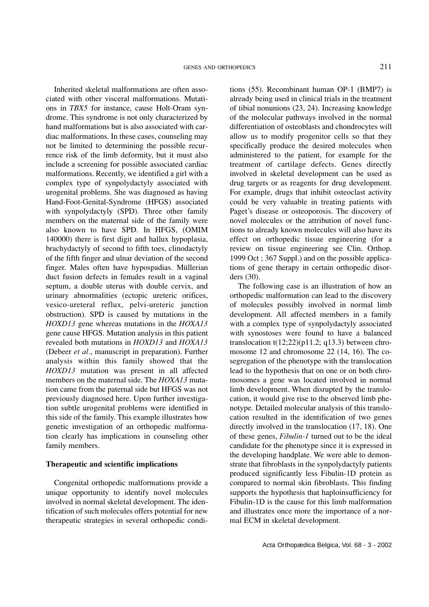Inherited skeletal malformations are often associated with other visceral malformations. Mutations in *TBX5* for instance, cause Holt-Oram syndrome. This syndrome is not only characterized by hand malformations but is also associated with cardiac malformations. In these cases, counseling may not be limited to determining the possible recurrence risk of the limb deformity, but it must also include a screening for possible associated cardiac malformations. Recently, we identified a girl with a complex type of synpolydactyly associated with urogenital problems. She was diagnosed as having Hand-Foot-Genital-Syndrome (HFGS) associated with synpolydactyly (SPD). Three other family members on the maternal side of the family were also known to have SPD. In HFGS, (OMIM 140000) there is first digit and hallux hypoplasia, brachydactyly of second to fifth toes, clinodactyly of the fifth finger and ulnar deviation of the second finger. Males often have hypospadias. Müllerian duct fusion defects in females result in a vaginal septum, a double uterus with double cervix, and urinary abnormalities (ectopic ureteric orifices, vesico-ureteral reflux, pelvi-ureteric junction obstruction). SPD is caused by mutations in the *HOXD13* gene whereas mutations in the *HOXA13* gene cause HFGS. Mutation analysis in this patient revealed both mutations in *HOXD13* and *HOXA13* (Debeer *et al.*, manuscript in preparation). Further analysis within this family showed that the *HOXD13* mutation was present in all affected members on the maternal side. The *HOXA13* mutation came from the paternal side but HFGS was not previously diagnosed here. Upon further investigation subtle urogenital problems were identified in this side of the family. This example illustrates how genetic investigation of an orthopedic malformation clearly has implications in counseling other family members.

### **Therapeutic and scientific implications**

Congenital orthopedic malformations provide a unique opportunity to identify novel molecules involved in normal skeletal development. The identification of such molecules offers potential for new therapeutic strategies in several orthopedic condi-

tions (55). Recombinant human OP-1 (BMP7) is already being used in clinical trials in the treatment of tibial nonunions (23, 24). Increasing knowledge of the molecular pathways involved in the normal differentiation of osteoblasts and chondrocytes will allow us to modify progenitor cells so that they specifically produce the desired molecules when administered to the patient, for example for the treatment of cartilage defects. Genes directly involved in skeletal development can be used as drug targets or as reagents for drug development. For example, drugs that inhibit osteoclast activity could be very valuable in treating patients with Paget's disease or osteoporosis. The discovery of novel molecules or the attribution of novel functions to already known molecules will also have its effect on orthopedic tissue engineering (for a review on tissue engineering see Clin. Orthop. 1999 Oct ; 367 Suppl.) and on the possible applications of gene therapy in certain orthopedic disorders (30).

The following case is an illustration of how an orthopedic malformation can lead to the discovery of molecules possibly involved in normal limb development. All affected members in a family with a complex type of synpolydactyly associated with synostoses were found to have a balanced translocation  $t(12;22)(p11.2; q13.3)$  between chromosome 12 and chromosome 22 (14, 16). The cosegregation of the phenotype with the translocation lead to the hypothesis that on one or on both chromosomes a gene was located involved in normal limb development. When disrupted by the translocation, it would give rise to the observed limb phenotype. Detailed molecular analysis of this translocation resulted in the identification of two genes directly involved in the translocation (17, 18). One of these genes, *Fibulin-1* turned out to be the ideal candidate for the phenotype since it is expressed in the developing handplate. We were able to demonstrate that fibroblasts in the synpolydactyly patients produced significantly less Fibulin-1D protein as compared to normal skin fibroblasts. This finding supports the hypothesis that haploinsufficiency for Fibulin-1D is the cause for this limb malformation and illustrates once more the importance of a normal ECM in skeletal development.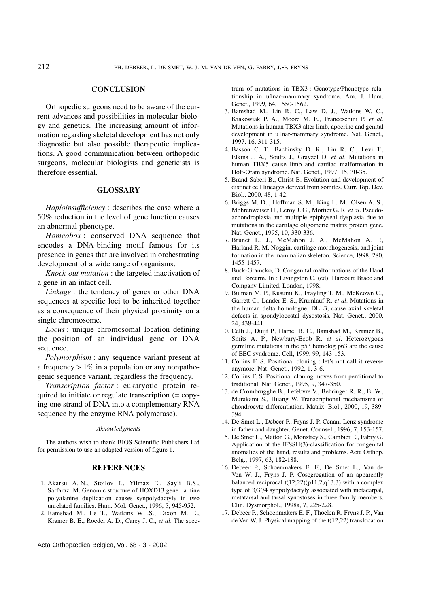### **CONCLUSION**

Orthopedic surgeons need to be aware of the current advances and possibilities in molecular biology and genetics. The increasing amount of information regarding skeletal development has not only diagnostic but also possible therapeutic implications. A good communication between orthopedic surgeons, molecular biologists and geneticists is therefore essential.

### **GLOSSARY**

*Haploinsufficiency* : describes the case where a 50% reduction in the level of gene function causes an abnormal phenotype.

*Homeobox* : conserved DNA sequence that encodes a DNA-binding motif famous for its presence in genes that are involved in orchestrating development of a wide range of organisms.

*Knock-out mutation* : the targeted inactivation of a gene in an intact cell.

*Linkage* : the tendency of genes or other DNA sequences at specific loci to be inherited together as a consequence of their physical proximity on a single chromosome.

*Locus* : unique chromosomal location defining the position of an individual gene or DNA sequence.

*Polymorphism* : any sequence variant present at a frequency  $> 1\%$  in a population or any nonpathogenic sequence variant, regardless the frequency.

*Transcription factor* : eukaryotic protein required to initiate or regulate transcription (= copying one strand of DNA into a complementary RNA sequence by the enzyme RNA polymerase).

### *Aknowledgments*

The authors wish to thank BIOS Scientific Publishers Ltd for permission to use an adapted version of figure 1.

#### **REFERENCES**

- 1. Akarsu A. N., Stoilov I., Yilmaz E., Sayli B.S., Sarfarazi M. Genomic structure of HOXD13 gene : a nine polyalanine duplication causes synpolydactyly in two unrelated families. Hum. Mol. Genet., 1996, 5, 945-952.
- 2. Bamshad M., Le T., Watkins W .S., Dixon M. E., Kramer B. E., Roeder A. D., Carey J. C., *et al.* The spec-

Acta Orthopædica Belgica, Vol. 68 - 3 - 2002

trum of mutations in TBX3 : Genotype/Phenotype relationship in u1nar-mammary syndrome. Am. J. Hum. Genet., 1999, 64, 1550-1562.

- 3. Bamshad M., Lin R. C., Law D. J., Watkins W. C., Krakowiak P. A., Moore M. E., Franceschini P. *et al.* Mutations in human TBX3 alter limb, apocrine and genital development in u1nar-mammary syndrome. Nat. Genet., 1997, 16, 311-315.
- 4. Basson C. T., Bachinsky D. R., Lin R. C., Levi T., Elkins J. A., Soults J., Grayzel D. *et al.* Mutations in human TBX5 cause limb and cardiac malformation in Holt-Oram syndrome. Nat. Genet., 1997, 15, 30-35.
- 5. Brand-Saberi B., Christ B. Evolution and development of distinct cell lineages derived from somites. Curr. Top. Dev. Biol., 2000, 48, 1-42.
- 6. Briggs M. D.., Hoffman S. M., King L. M., Olsen A. S., Mohrenweiser H., Leroy J. G., Mortier G. R. *et al.* Pseudoachondroplasia and multiple epiphyseal dysplasia due to mutations in the cartilage oligomeric matrix protein gene. Nat. Genet., 1995, 10, 330-336.
- 7. Brunet L. J., McMahon J. A., McMahon A. P., Harland R. M. Noggin, cartilage morphogenesis, and joint formation in the mammalian skeleton. Science, 1998, 280, 1455-1457.
- 8. Buck-Gramcko, D. Congenital malformations of the Hand and Forearm. In : Livingston C. (ed). Harcourt Brace and Company Limited, London, 1998.
- 9. Bulman M. P., Kusumi K., Frayling T. M., McKeown C., Garrett C., Lander E. S., Krumlauf R. *et al.* Mutations in the human delta homologue, DLL3, cause axial skeletal defects in spondylocostal dysostosis. Nat. Genet., 2000, 24, 438-441.
- 10. Celli J., Duijf P., Hamel B. C., Bamshad M., Kramer B., Smits A. P., Newbury-Ecob R. *et al.* Heterozygous germline mutations in the p53 homolog p63 are the cause of EEC syndrome. Cell, 1999, 99, 143-153.
- 11. Collins F. S. Positional cloning : let's not call it reverse anymore. Nat. Genet., 1992, 1, 3-6.
- 12. Collins F. S. Positional cloning moves from perditional to traditional. Nat. Genet., 1995, 9, 347-350.
- 13. de Crombrugghe B., Lefebvre V., Behringer R. R., Bi W., Murakami S., Huang W. Transcriptional mechanisms of chondrocyte differentiation. Matrix. Biol., 2000, 19, 389- 394.
- 14. De Smet L., Debeer P., Fryns J. P. Cenani-Lenz syndrome in father and daughter. Genet. Counsel., 1996, 7, 153-157.
- 15. De Smet L., Matton G., Monstrey S., Cambier E., Fabry G. Application of the IFSSH(3)-classification for congenital anomalies of the hand, results and problems. Acta Orthop. Belg., 1997, 63, 182-188.
- 16. Debeer P., Schoenmakers E. F., De Smet L., Van de Ven W. J., Fryns J. P. Cosegregation of an apparently balanced reciprocal  $t(12;22)(p11.2;q13.3)$  with a complex type of 3/3'/4 synpolydactyly associated with metacarpal, metatarsal and tarsal synostoses in three family members. Clin. Dysmorphol., 1998a, 7, 225-228.
- 17. Debeer P., Schoenmakers E. F., Thoelen R. Fryns J. P., Van de Ven W. J. Physical mapping of the t(12;22) translocation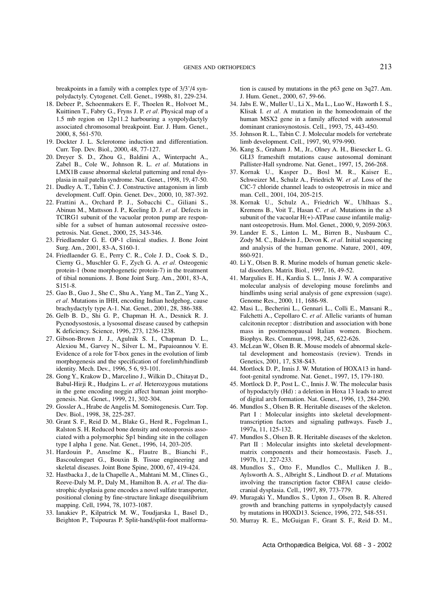breakpoints in a family with a complex type of 3/3'/4 synpolydactyly. Cytogenet. Cell. Genet., 1998b, 81, 229-234.

- 18. Debeer P., Schoenmakers E. F., Thoelen R., Holvoet M., Kuittinen T., Fabry G., Fryns J. P. *et al.* Physical map of a 1.5 mb region on 12p11.2 harbouring a synpolydactyly associated chromosomal breakpoint. Eur. J. Hum. Genet., 2000, 8, 561-570.
- 19. Dockter J. L. Sclerotome induction and differentiation. Curr. Top. Dev. Biol., 2000, 48, 77-127.
- 20. Dreyer S. D., Zhou G., Baldini A., Winterpacht A., Zabel B., Cole W., Johnson R. L. *et al.* Mutations in LMX1B cause abnormal skeletal patterning and renal dysplasia in nail patella syndrome. Nat. Genet., 1998, 19, 47-50.
- 21. Dudley A. T., Tabin C. J. Constructive antagonism in limb development. Cuff. Opin. Genet. Dev., 2000, 10, 387-392.
- 22. Frattini A., Orchard P. J., Sobacchi C., Giliani S., Abinun M., Mattsson J. P., Keeling D. J. *et al.* Defects in TCIRG1 subunit of the vacuolar proton pump are responsible for a subset of human autosomal recessive osteopetrosis. Nat. Genet., 2000, 25, 343-346.
- 23. Friedlaender G. E. OP-1 clinical studies. J. Bone Joint Surg. Am., 2001, 83-A, S160-1.
- 24. Friedlaender G. E., Perry C. R., Cole J. D., Cook S. D., Cierny G., Muschler G. F., Zych G. A. *et al.* Osteogenic protein-1 (bone morphogenetic protein-7) in the treatment of tibial nonunions. J. Bone Joint Surg. Am., 2001, 83-A, S151-8.
- 25. Gao B., Guo J., She C., Shu A., Yang M., Tan Z., Yang X., *et al.* Mutations in IHH, encoding Indian hedgehog, cause brachydactyly type A-1. Nat. Genet., 2001, 28, 386-388.
- 26. Gelb B. D., Shi G. P., Chapman H. A., Desnick R. J. Pycnodysostosis, a lysosomal disease caused by cathepsin K deficiency. Science, 1996, 273, 1236-1238.
- 27. Gibson-Brown J. J., Agulnik S. I., Chapman D. L., Alexiou M., Garvey N., Silver L. M., Papaioannou V. E. Evidence of a role for T-box genes in the evolution of limb morphogenesis and the specification of forelimb/hindlimb identity. Mech. Dev., 1996, 5 6, 93-101.
- 28. Gong Y., Krakow D., Marcelino J., Wilkin D., Chitayat D., Babul-Hirji R., Hudgins L. *et al.* Heterozygous mutations in the gene encoding noggin affect human joint morphogenesis. Nat. Genet., 1999, 21, 302-304.
- 29. Gossler A., Hrabe de Angelis M. Somitogenesis. Curr. Top. Dev. Biol., 1998, 38, 225-287.
- 30. Grant S. F., Reid D. M., Blake G., Herd R., Fogelman I., Ralston S. H. Reduced bone density and osteoporosis associated with a polymorphic Sp1 binding site in the collagen type I alpha 1 gene. Nat. Genet., 1996, 14, 203-205.
- 31. Hardouin P., Anselme K., Flautre B., Bianchi F., Bascoulenguet G., Bouxin B. Tissue engineering and skeletal diseases. Joint Bone Spine, 2000, 67, 419-424.
- 32. Hastbacka J., de la Chapelle A., Mahtani M. M., Clines G., Reeve-Daly M. P., Daly M., Hamilton B. A. *et al.* The diastrophic dysplasia gene encodes a novel sulfate transporter, positional cloning by fine-structure linkage disequilibrium mapping. Cell, 1994, 78, 1073-1087.
- 33. Ianakiev P., Kilpatrick M. W., Toudjarska I., Basel D., Beighton P., Tsipouras P. Split-hand/split-foot malforma-

tion is caused by mutations in the p63 gene on 3q27. Am. J. Hum. Genet., 2000, 67, 59-66.

- 34. Jabs E. W., Muller U., Li X., Ma L., Luo W., Haworth I. S., Klisak I. *et al.* A mutation in the homeodomain of the human MSX2 gene in a family affected with autosomal dominant craniosynostosis. Cell., 1993, 75, 443-450.
- 35. Johnson R. L., Tabin C. J. Molecular models for vertebrate limb development. Cell., 1997, 90, 979-990.
- 36. Kang S., Graham J. M., Jr., Olney A. H., Biesecker L. G. GLI3 frameshift mutations cause autosomal dominant Pallister-Hall syndrome. Nat. Genet., 1997, 15, 266-268.
- 37. Kornak U., Kasper D., Bosl M. R., Kaiser E., Schweizer M., Schulz A., Friedrich W. *et al.* Loss of the ClC-7 chloride channel leads to osteopetrosis in mice and man. Cell., 2001, 104, 205-215.
- 38. Kornak U., Schulz A., Friedrich W., Uhlhaas S., Kremens B., Voit T., Hasan C. *et al.* Mutations in the a3 subunit of the vacuolar  $H(+)$ -ATPase cause infantile malignant osteopetrosis. Hum. Mol. Genet., 2000, 9, 2059-2063.
- 39. Lander E. S., Linton L. M., Birren B., Nusbaum C., Zody M. C., Baldwin J., Devon K. *et al.* Initial sequencing and analysis of the human genome. Nature, 2001, 409, 860-921.
- 40. Li Y., Olsen B. R. Murine models of human genetic skeletal disorders. Matrix Biol., 1997, 16, 49-52.
- 41. Margulies E. H., Kardia S. L., Innis J. W. A comparative molecular analysis of developing mouse forelimbs and hindlimbs using serial analysis of gene expression (sage). Genome Res., 2000, 11, 1686-98.
- 42. Masi L., Becherini L., Gennari L., Colli E., Mansani R., Falchetti A., Cepollaro C. *et al.* Allelic variants of human calcitonin receptor : distribution and association with bone mass in postmenopausal Italian women. Biochem. Biophys. Res. Commun., 1998, 245, 622-626.
- 43. McLean W., Olsen B. R. Mouse models of abnormal skeletal development and homeostasis (review). Trends in Genetics, 2001, 17, S38-S43.
- 44. Mortlock D. P., Innis J. W. Mutation of HOXA13 in handfoot-genital syndrome. Nat. Genet., 1997, 15, 179-180.
- 45. Mortlock D. P., Post L. C., Innis J. W. The molecular basis of hypodactyly (Hd) : a deletion in Hoxa 13 leads to arrest of digital arch formation. Nat. Genet., 1996, 13, 284-290.
- 46. Mundlos S., Olsen B. R. Heritable diseases of the skeleton. Part I : Molecular insights into skeletal developmenttranscription factors and signaling pathways. Faseb J., 1997a, 11, 125-132.
- 47. Mundlos S., Olsen B. R. Heritable diseases of the skeleton. Part II : Molecular insights into skeletal developmentmatrix components and their homeostasis. Faseb. J., 1997b, 11, 227-233.
- 48. Mundlos S., Otto F., Mundlos C., Mulliken J. B., Aylsworth A. S., Albright S., Lindhout D. *et al.* Mutations involving the transcription factor CBFA1 cause cleidocranial dysplasia. Cell., 1997, 89, 773-779.
- 49. Muragaki Y., Mundlos S., Upton J., Olsen B. R. Altered growth and branching patterns in synpolydactyly caused by mutations in HOXD13. Science, 1996, 272, 548-551.
- 50. Murray R. E., McGuigan F., Grant S. F., Reid D. M.,

Acta Orthopædica Belgica, Vol. 68 - 3 - 2002